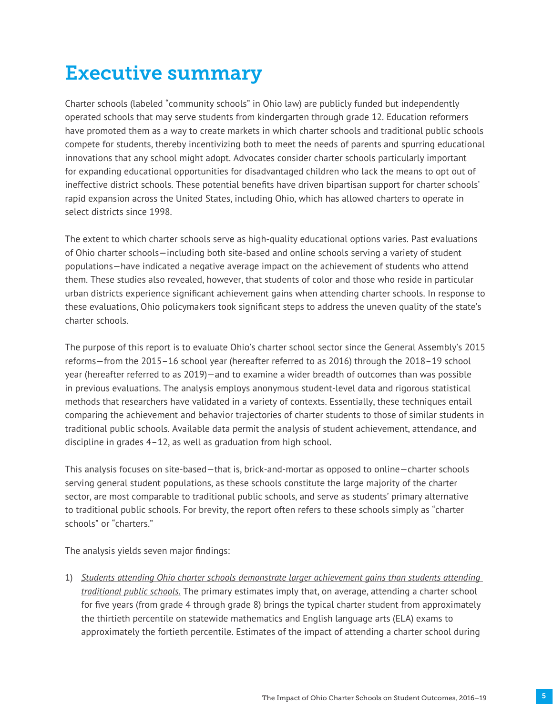## Executive summary

Charter schools (labeled "community schools" in Ohio law) are publicly funded but independently operated schools that may serve students from kindergarten through grade 12. Education reformers have promoted them as a way to create markets in which charter schools and traditional public schools compete for students, thereby incentivizing both to meet the needs of parents and spurring educational innovations that any school might adopt. Advocates consider charter schools particularly important for expanding educational opportunities for disadvantaged children who lack the means to opt out of ineffective district schools. These potential benefits have driven bipartisan support for charter schools' rapid expansion across the United States, including Ohio, which has allowed charters to operate in select districts since 1998.

The extent to which charter schools serve as high-quality educational options varies. Past evaluations of Ohio charter schools—including both site-based and online schools serving a variety of student populations—have indicated a negative average impact on the achievement of students who attend them. These studies also revealed, however, that students of color and those who reside in particular urban districts experience significant achievement gains when attending charter schools. In response to these evaluations, Ohio policymakers took significant steps to address the uneven quality of the state's charter schools.

The purpose of this report is to evaluate Ohio's charter school sector since the General Assembly's 2015 reforms—from the 2015–16 school year (hereafter referred to as 2016) through the 2018–19 school year (hereafter referred to as 2019)—and to examine a wider breadth of outcomes than was possible in previous evaluations. The analysis employs anonymous student-level data and rigorous statistical methods that researchers have validated in a variety of contexts. Essentially, these techniques entail comparing the achievement and behavior trajectories of charter students to those of similar students in traditional public schools. Available data permit the analysis of student achievement, attendance, and discipline in grades 4–12, as well as graduation from high school.

This analysis focuses on site-based—that is, brick-and-mortar as opposed to online—charter schools serving general student populations, as these schools constitute the large majority of the charter sector, are most comparable to traditional public schools, and serve as students' primary alternative to traditional public schools. For brevity, the report often refers to these schools simply as "charter schools" or "charters."

The analysis yields seven major findings:

1) *Students attending Ohio charter schools demonstrate larger achievement gains than students attending traditional public schools.* The primary estimates imply that, on average, attending a charter school for five years (from grade 4 through grade 8) brings the typical charter student from approximately the thirtieth percentile on statewide mathematics and English language arts (ELA) exams to approximately the fortieth percentile. Estimates of the impact of attending a charter school during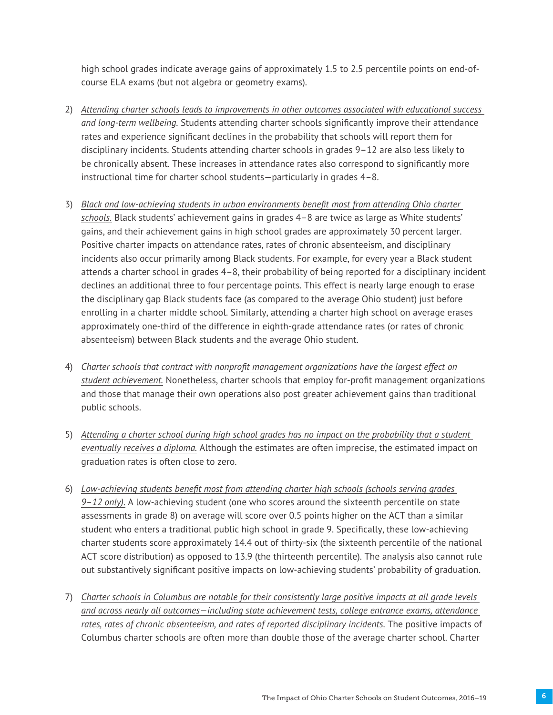high school grades indicate average gains of approximately 1.5 to 2.5 percentile points on end-ofcourse ELA exams (but not algebra or geometry exams).

- 2) *Attending charter schools leads to improvements in other outcomes associated with educational success and long-term wellbeing.* Students attending charter schools significantly improve their attendance rates and experience significant declines in the probability that schools will report them for disciplinary incidents. Students attending charter schools in grades 9–12 are also less likely to be chronically absent. These increases in attendance rates also correspond to significantly more instructional time for charter school students—particularly in grades 4–8.
- 3) *Black and low-achieving students in urban environments benefit most from attending Ohio charter schools.* Black students' achievement gains in grades 4–8 are twice as large as White students' gains, and their achievement gains in high school grades are approximately 30 percent larger. Positive charter impacts on attendance rates, rates of chronic absenteeism, and disciplinary incidents also occur primarily among Black students. For example, for every year a Black student attends a charter school in grades 4–8, their probability of being reported for a disciplinary incident declines an additional three to four percentage points. This effect is nearly large enough to erase the disciplinary gap Black students face (as compared to the average Ohio student) just before enrolling in a charter middle school. Similarly, attending a charter high school on average erases approximately one-third of the difference in eighth-grade attendance rates (or rates of chronic absenteeism) between Black students and the average Ohio student.
- 4) *Charter schools that contract with nonprofit management organizations have the largest effect on student achievement.* Nonetheless, charter schools that employ for-profit management organizations and those that manage their own operations also post greater achievement gains than traditional public schools.
- 5) *Attending a charter school during high school grades has no impact on the probability that a student eventually receives a diploma.* Although the estimates are often imprecise, the estimated impact on graduation rates is often close to zero.
- 6) *Low-achieving students benefit most from attending charter high schools (schools serving grades 9–12 only)*. A low-achieving student (one who scores around the sixteenth percentile on state assessments in grade 8) on average will score over 0.5 points higher on the ACT than a similar student who enters a traditional public high school in grade 9. Specifically, these low-achieving charter students score approximately 14.4 out of thirty-six (the sixteenth percentile of the national ACT score distribution) as opposed to 13.9 (the thirteenth percentile). The analysis also cannot rule out substantively significant positive impacts on low-achieving students' probability of graduation.
- 7) *Charter schools in Columbus are notable for their consistently large positive impacts at all grade levels and across nearly all outcomes—including state achievement tests, college entrance exams, attendance rates, rates of chronic absenteeism, and rates of reported disciplinary incidents.* The positive impacts of Columbus charter schools are often more than double those of the average charter school. Charter